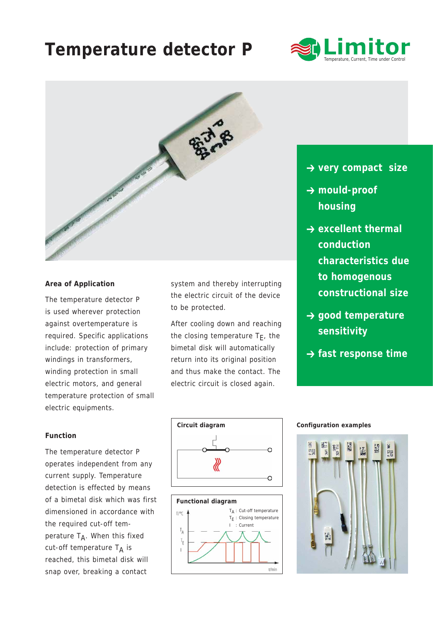# **Temperature detector P**





### **Area of Application**

The temperature detector P is used wherever protection against overtemperature is required. Specific applications include: protection of primary windings in transformers, winding protection in small electric motors, and general temperature protection of small electric equipments.

## **Function**

The temperature detector P operates independent from any current supply. Temperature detection is effected by means of a bimetal disk which was first dimensioned in accordance with the required cut-off temperature  $T_A$ . When this fixed cut-off temperature  $T_A$  is reached, this bimetal disk will snap over, breaking a contact

system and thereby interrupting the electric circuit of the device to be protected.

After cooling down and reaching the closing temperature  $T_F$ , the bimetal disk will automatically return into its original position and thus make the contact. The electric circuit is closed again.

- **→ very compact size**
- **→ mould-proof housing**
- $\rightarrow$  excellent thermal **conduction characteristics due to homogenous constructional size**
- **→ good temperature sensitivity**
- **→ fast response time**